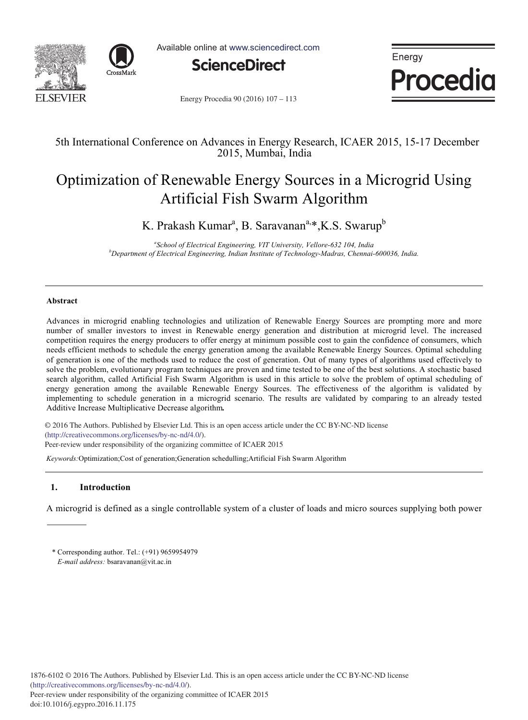



Available online at www.sciencedirect.com



Energy **Procedia** 

Energy Procedia 90 (2016) 107 - 113

## 5th International Conference on Advances in Energy Research, ICAER 2015, 15-17 December 2015, Mumbai, India

# Optimization of Renewable Energy Sources in a Microgrid Using Artificial Fish Swarm Algorithm

K. Prakash Kumar<sup>a</sup>, B. Saravanan<sup>a,\*</sup>, K.S. Swarup<sup>b</sup>

<sup>a</sup> School of Electrical Engineering, VIT University, Vellore-632 104, India *b* Department of Electrical Engineering, Indian Institute of Technology Madres, Chennei *Department of Electrical Engineering, Indian Institute of Technology-Madras, Chennai-600036, India.* 

## **Abstract**

Advances in microgrid enabling technologies and utilization of Renewable Energy Sources are prompting more and more number of smaller investors to invest in Renewable energy generation and distribution at microgrid level. The increased competition requires the energy producers to offer energy at minimum possible cost to gain the confidence of consumers, which needs efficient methods to schedule the energy generation among the available Renewable Energy Sources. Optimal scheduling of generation is one of the methods used to reduce the cost of generation. Out of many types of algorithms used effectively to solve the problem, evolutionary program techniques are proven and time tested to be one of the best solutions. A stochastic based search algorithm, called Artificial Fish Swarm Algorithm is used in this article to solve the problem of optimal scheduling of energy generation among the available Renewable Energy Sources. The effectiveness of the algorithm is validated by implementing to schedule generation in a microgrid scenario. The results are validated by comparing to an already tested Additive Increase Multiplicative Decrease algorithm*.* 

© 2016 The Authors. Published by Elsevier Ltd. © 2016 The Authors. Published by Elsevier Ltd. This is an open access article under the CC BY-NC-ND license (http://creativecommons.org/licenses/by-nc-nd/4.0/).

Peer-review under responsibility of the organizing committee of ICAER 2015

*Keywords:*Optimization;Cost of generation;Generation schedulling;Artificial Fish Swarm Algorithm

## **1. Introduction**

A microgrid is defined as a single controllable system of a cluster of loads and micro sources supplying both power

<sup>\*</sup> Corresponding author. Tel.: (+91) 9659954979 *E-mail address:* bsaravanan@vit.ac.in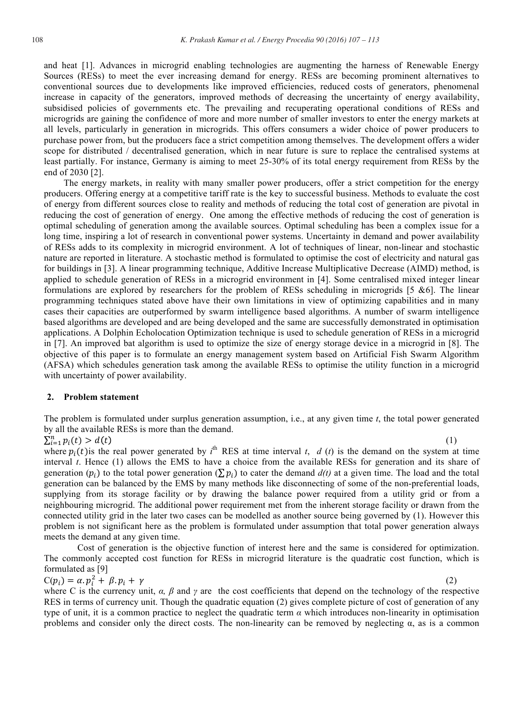and heat [1]. Advances in microgrid enabling technologies are augmenting the harness of Renewable Energy Sources (RESs) to meet the ever increasing demand for energy. RESs are becoming prominent alternatives to conventional sources due to developments like improved efficiencies, reduced costs of generators, phenomenal increase in capacity of the generators, improved methods of decreasing the uncertainty of energy availability, subsidised policies of governments etc. The prevailing and recuperating operational conditions of RESs and microgrids are gaining the confidence of more and more number of smaller investors to enter the energy markets at all levels, particularly in generation in microgrids. This offers consumers a wider choice of power producers to purchase power from, but the producers face a strict competition among themselves. The development offers a wider scope for distributed / decentralised generation, which in near future is sure to replace the centralised systems at least partially. For instance, Germany is aiming to meet 25-30% of its total energy requirement from RESs by the end of 2030 [2].

The energy markets, in reality with many smaller power producers, offer a strict competition for the energy producers. Offering energy at a competitive tariff rate is the key to successful business. Methods to evaluate the cost of energy from different sources close to reality and methods of reducing the total cost of generation are pivotal in reducing the cost of generation of energy. One among the effective methods of reducing the cost of generation is optimal scheduling of generation among the available sources. Optimal scheduling has been a complex issue for a long time, inspiring a lot of research in conventional power systems. Uncertainty in demand and power availability of RESs adds to its complexity in microgrid environment. A lot of techniques of linear, non-linear and stochastic nature are reported in literature. A stochastic method is formulated to optimise the cost of electricity and natural gas for buildings in [3]. A linear programming technique, Additive Increase Multiplicative Decrease (AIMD) method, is applied to schedule generation of RESs in a microgrid environment in [4]. Some centralised mixed integer linear formulations are explored by researchers for the problem of RESs scheduling in microgrids [5 &6]. The linear programming techniques stated above have their own limitations in view of optimizing capabilities and in many cases their capacities are outperformed by swarm intelligence based algorithms. A number of swarm intelligence based algorithms are developed and are being developed and the same are successfully demonstrated in optimisation applications. A Dolphin Echolocation Optimization technique is used to schedule generation of RESs in a microgrid in [7]. An improved bat algorithm is used to optimize the size of energy storage device in a microgrid in [8]. The objective of this paper is to formulate an energy management system based on Artificial Fish Swarm Algorithm (AFSA) which schedules generation task among the available RESs to optimise the utility function in a microgrid with uncertainty of power availability.

## **2. Problem statement**

The problem is formulated under surplus generation assumption, i.e., at any given time *t*, the total power generated by all the available RESs is more than the demand.

 $\sum_{i=1}^{n} p_i(t) > d(t)$ 

 $_{i=1}^{n} p_i(t) > d(t)$  (1) where  $p_i(t)$  is the real power generated by  $i^{\text{th}}$  RES at time interval *t*, *d* (*t*) is the demand on the system at time interval *t*. Hence (1) allows the EMS to have a choice from the available RESs for generation and its share of generation  $(p_i)$  to the total power generation  $(\sum p_i)$  to cater the demand  $d(t)$  at a given time. The load and the total generation can be balanced by the EMS by many methods like disconnecting of some of the non-preferential loads, supplying from its storage facility or by drawing the balance power required from a utility grid or from a neighbouring microgrid. The additional power requirement met from the inherent storage facility or drawn from the connected utility grid in the later two cases can be modelled as another source being governed by (1). However this problem is not significant here as the problem is formulated under assumption that total power generation always meets the demand at any given time.

Cost of generation is the objective function of interest here and the same is considered for optimization. The commonly accepted cost function for RESs in microgrid literature is the quadratic cost function, which is formulated as [9]

$$
C(p_i) = \alpha \cdot p_i^2 + \beta \cdot p_i + \gamma \tag{2}
$$

where C is the currency unit,  $\alpha$ ,  $\beta$  and  $\gamma$  are the cost coefficients that depend on the technology of the respective RES in terms of currency unit. Though the quadratic equation (2) gives complete picture of cost of generation of any type of unit, it is a common practice to neglect the quadratic term  $\alpha$  which introduces non-linearity in optimisation problems and consider only the direct costs. The non-linearity can be removed by neglecting  $\alpha$ , as is a common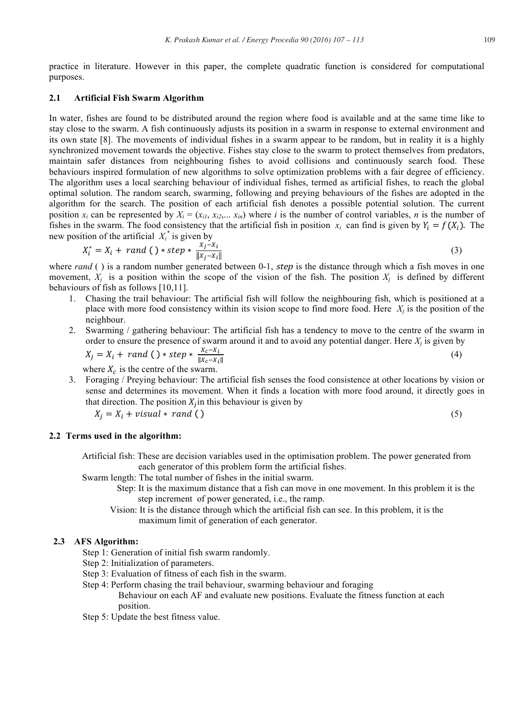practice in literature. However in this paper, the complete quadratic function is considered for computational purposes.

#### **2.1 Artificial Fish Swarm Algorithm**

In water, fishes are found to be distributed around the region where food is available and at the same time like to stay close to the swarm. A fish continuously adjusts its position in a swarm in response to external environment and its own state [8]. The movements of individual fishes in a swarm appear to be random, but in reality it is a highly synchronized movement towards the objective. Fishes stay close to the swarm to protect themselves from predators, maintain safer distances from neighbouring fishes to avoid collisions and continuously search food. These behaviours inspired formulation of new algorithms to solve optimization problems with a fair degree of efficiency. The algorithm uses a local searching behaviour of individual fishes, termed as artificial fishes, to reach the global optimal solution. The random search, swarming, following and preying behaviours of the fishes are adopted in the algorithm for the search. The position of each artificial fish denotes a possible potential solution. The current position  $x_i$  can be represented by  $X_i = (x_{i1}, x_{i2}, \ldots, x_{in})$  where *i* is the number of control variables, *n* is the number of fishes in the swarm. The food consistency that the artificial fish in position  $x_i$  can find is given by  $Y_i = f(X_i)$ . The new position of the artificial  $X_i^*$  is given by

$$
X_i^* = X_i + rand() * step * \frac{x_j - x_i}{\|x_j - x_i\|}
$$
 (3)

where  $rand$  () is a random number generated between 0-1, step is the distance through which a fish moves in one movement,  $X_i$  is a position within the scope of the vision of the fish. The position  $X_i$  is defined by different behaviours of fish as follows [10,11].

- 1. Chasing the trail behaviour: The artificial fish will follow the neighbouring fish, which is positioned at a place with more food consistency within its vision scope to find more food. Here  $X_i$  is the position of the neighbour.
- 2. Swarming / gathering behaviour: The artificial fish has a tendency to move to the centre of the swarm in order to ensure the presence of swarm around it and to avoid any potential danger. Here  $X_i$  is given by

$$
X_j = X_i + rand() * step * \frac{X_c - X_i}{\|X_c - X_i\|}
$$
\n
$$
(4)
$$

where  $X_c$  is the centre of the swarm.

3. Foraging / Preying behaviour: The artificial fish senses the food consistence at other locations by vision or sense and determines its movement. When it finds a location with more food around, it directly goes in that direction. The position  $X_i$  in this behaviour is given by

 $X_i = X_i + visual * rand()$  (5)

## **2.2 Terms used in the algorithm:**

Artificial fish: These are decision variables used in the optimisation problem. The power generated from each generator of this problem form the artificial fishes.

Swarm length: The total number of fishes in the initial swarm.

 Step: It is the maximum distance that a fish can move in one movement. In this problem it is the step increment of power generated, i.e., the ramp.

 Vision: It is the distance through which the artificial fish can see. In this problem, it is the maximum limit of generation of each generator.

## **2.3 AFS Algorithm:**

- Step 1: Generation of initial fish swarm randomly.
- Step 2: Initialization of parameters.
- Step 3: Evaluation of fitness of each fish in the swarm.
- Step 4: Perform chasing the trail behaviour, swarming behaviour and foraging Behaviour on each AF and evaluate new positions. Evaluate the fitness function at each position.
- Step 5: Update the best fitness value.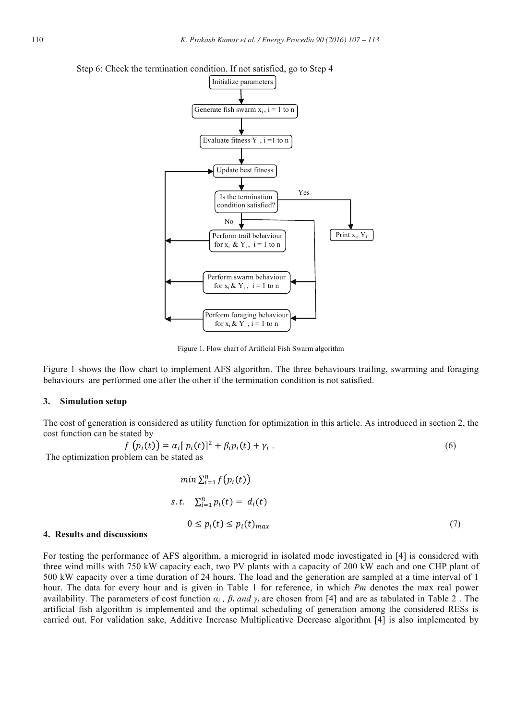

#### Step 6: Check the termination condition. If not satisfied, go to Step 4

Figure 1. Flow chart of Artificial Fish Swarm algorithm

Figure 1 shows the flow chart to implement AFS algorithm. The three behaviours trailing, swarming and foraging behaviours are performed one after the other if the termination condition is not satisfied.

#### **3. Simulation setup**

The cost of generation is considered as utility function for optimization in this article. As introduced in section 2, the cost function can be stated by

$$
f(p_i(t)) = \alpha_i [p_i(t)]^2 + \beta_i p_i(t) + \gamma_i.
$$
\n
$$
(6)
$$

The optimization problem can be stated as

$$
\min \sum_{i=1}^{n} f(p_i(t))
$$
  
s.t. 
$$
\sum_{i=1}^{n} p_i(t) = d_i(t)
$$
  

$$
0 \le p_i(t) \le p_i(t)_{max}
$$
 (7)

#### **4. Results and discussions**

For testing the performance of AFS algorithm, a microgrid in isolated mode investigated in [4] is considered with three wind mills with 750 kW capacity each, two PV plants with a capacity of 200 kW each and one CHP plant of 500 kW capacity over a time duration of 24 hours. The load and the generation are sampled at a time interval of 1 hour. The data for every hour and is given in Table 1 for reference, in which *Pm* denotes the max real power availability. The parameters of cost function  $\alpha_i$ ,  $\beta_i$  and  $\gamma_i$  are chosen from [4] and are as tabulated in Table 2. The artificial fish algorithm is implemented and the optimal scheduling of generation among the considered RESs is carried out. For validation sake, Additive Increase Multiplicative Decrease algorithm [4] is also implemented by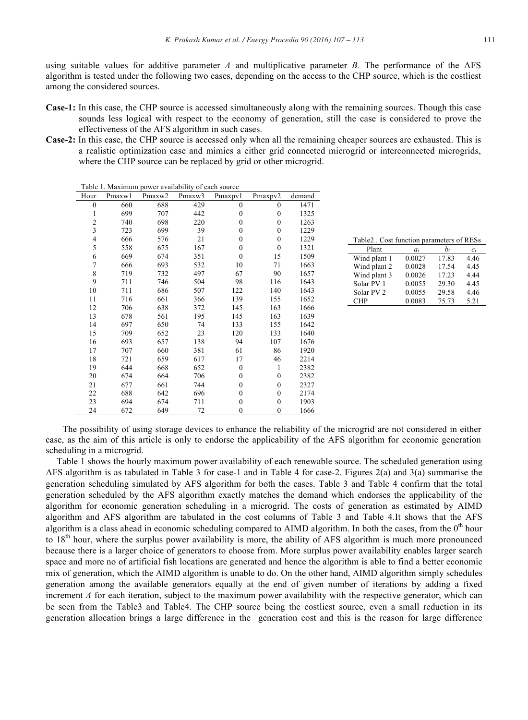using suitable values for additive parameter *A* and multiplicative parameter *B.* The performance of the AFS algorithm is tested under the following two cases, depending on the access to the CHP source, which is the costliest among the considered sources.

- **Case-1:** In this case, the CHP source is accessed simultaneously along with the remaining sources. Though this case sounds less logical with respect to the economy of generation, still the case is considered to prove the effectiveness of the AFS algorithm in such cases.
- **Case-2:** In this case, the CHP source is accessed only when all the remaining cheaper sources are exhausted. This is a realistic optimization case and mimics a either grid connected microgrid or interconnected microgrids, where the CHP source can be replaced by grid or other microgrid.

| Table 1. Maximum power availability of each source |        |        |        |                  |              |        |  |  |  |
|----------------------------------------------------|--------|--------|--------|------------------|--------------|--------|--|--|--|
| Hour                                               | Pmaxw1 | Pmaxw2 | Pmaxw3 | Pmaxpv1          | Pmaxpv2      | demand |  |  |  |
| $\mathbf{0}$                                       | 660    | 688    | 429    | $\mathbf{0}$     | $\mathbf{0}$ | 1471   |  |  |  |
| 1                                                  | 699    | 707    | 442    | $\mathbf{0}$     | $\mathbf{0}$ | 1325   |  |  |  |
| $\overline{c}$                                     | 740    | 698    | 220    | $\theta$         | $\theta$     | 1263   |  |  |  |
| $\overline{\mathbf{3}}$                            | 723    | 699    | 39     | $\mathbf{0}$     | $\mathbf{0}$ | 1229   |  |  |  |
| $\overline{\mathbf{4}}$                            | 666    | 576    | 21     | $\boldsymbol{0}$ | $\mathbf{0}$ | 1229   |  |  |  |
| 5                                                  | 558    | 675    | 167    | $\boldsymbol{0}$ | $\theta$     | 1321   |  |  |  |
| 6                                                  | 669    | 674    | 351    | $\mathbf{0}$     | 15           | 1509   |  |  |  |
| $\overline{7}$                                     | 666    | 693    | 532    | 10               | 71           | 1663   |  |  |  |
| 8                                                  | 719    | 732    | 497    | 67               | 90           | 1657   |  |  |  |
| 9                                                  | 711    | 746    | 504    | 98               | 116          | 1643   |  |  |  |
| 10                                                 | 711    | 686    | 507    | 122              | 140          | 1643   |  |  |  |
| 11                                                 | 716    | 661    | 366    | 139              | 155          | 1652   |  |  |  |
| 12                                                 | 706    | 638    | 372    | 145              | 163          | 1666   |  |  |  |
| 13                                                 | 678    | 561    | 195    | 145              | 163          | 1639   |  |  |  |
| 14                                                 | 697    | 650    | 74     | 133              | 155          | 1642   |  |  |  |
| 15                                                 | 709    | 652    | 23     | 120              | 133          | 1640   |  |  |  |
| 16                                                 | 693    | 657    | 138    | 94               | 107          | 1676   |  |  |  |
| 17                                                 | 707    | 660    | 381    | 61               | 86           | 1920   |  |  |  |
| 18                                                 | 721    | 659    | 617    | 17               | 46           | 2214   |  |  |  |
| 19                                                 | 644    | 668    | 652    | $\mathbf{0}$     | 1            | 2382   |  |  |  |
| 20                                                 | 674    | 664    | 706    | $\mathbf{0}$     | $\theta$     | 2382   |  |  |  |
| 21                                                 | 677    | 661    | 744    | $\mathbf{0}$     | $\mathbf{0}$ | 2327   |  |  |  |
| 22                                                 | 688    | 642    | 696    | 0                | $\mathbf{0}$ | 2174   |  |  |  |
| 23                                                 | 694    | 674    | 711    | $\mathbf{0}$     | $\mathbf{0}$ | 1903   |  |  |  |
| 24                                                 | 672    | 649    | 72     | $\mathbf{0}$     | $\mathbf{0}$ | 1666   |  |  |  |

|  | Table 2. Cost function parameters of RESs |  |
|--|-------------------------------------------|--|
|  |                                           |  |

| $a_i$  | $b_i$ | $c_i$ |
|--------|-------|-------|
| 0.0027 | 17.83 | 4.46  |
| 0.0028 | 17.54 | 4.45  |
| 0.0026 | 17.23 | 4.44  |
| 0.0055 | 29.30 | 4.45  |
| 0.0055 | 29.58 | 4.46  |
| 0.0083 | 75.73 | 5.21  |
|        |       |       |

The possibility of using storage devices to enhance the reliability of the microgrid are not considered in either case, as the aim of this article is only to endorse the applicability of the AFS algorithm for economic generation scheduling in a microgrid.

Table 1 shows the hourly maximum power availability of each renewable source. The scheduled generation using AFS algorithm is as tabulated in Table 3 for case-1 and in Table 4 for case-2. Figures 2(a) and 3(a) summarise the generation scheduling simulated by AFS algorithm for both the cases. Table 3 and Table 4 confirm that the total generation scheduled by the AFS algorithm exactly matches the demand which endorses the applicability of the algorithm for economic generation scheduling in a microgrid. The costs of generation as estimated by AIMD algorithm and AFS algorithm are tabulated in the cost columns of Table 3 and Table 4.It shows that the AFS algorithm is a class ahead in economic scheduling compared to AIMD algorithm. In both the cases, from the  $0<sup>th</sup>$  hour to  $18<sup>th</sup>$  hour, where the surplus power availability is more, the ability of AFS algorithm is much more pronounced because there is a larger choice of generators to choose from. More surplus power availability enables larger search space and more no of artificial fish locations are generated and hence the algorithm is able to find a better economic mix of generation, which the AIMD algorithm is unable to do. On the other hand, AIMD algorithm simply schedules generation among the available generators equally at the end of given number of iterations by adding a fixed increment *A* for each iteration, subject to the maximum power availability with the respective generator, which can be seen from the Table3 and Table4. The CHP source being the costliest source, even a small reduction in its generation allocation brings a large difference in the generation cost and this is the reason for large difference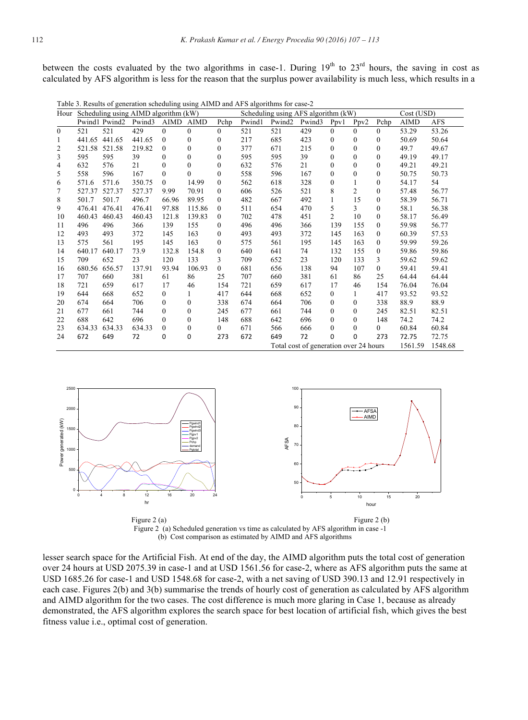between the costs evaluated by the two algorithms in case-1. During 19<sup>th</sup> to 23<sup>rd</sup> hours, the saving in cost as calculated by AFS algorithm is less for the reason that the surplus power availability is much less, which results in a

| Table 5. Results of generation scheduling using AliviD and Ar S algorithms for case-2 |               |               |                                           |              |              |              |                                     |                                        |        |                |                |            |             |            |
|---------------------------------------------------------------------------------------|---------------|---------------|-------------------------------------------|--------------|--------------|--------------|-------------------------------------|----------------------------------------|--------|----------------|----------------|------------|-------------|------------|
|                                                                                       |               |               | Hour Scheduling using AIMD algorithm (kW) |              |              |              | Scheduling using AFS algorithm (kW) |                                        |        |                |                | Cost (USD) |             |            |
|                                                                                       |               | Pwind1 Pwind2 | Pwind3                                    | AIMD         | AIMD         | Pchp         | Pwind1                              | Pwind <sub>2</sub>                     | Pwind3 | Ppv1           | Ppv2           | Pchp       | <b>AIMD</b> | <b>AFS</b> |
| $\mathbf{0}$                                                                          | 521           | 521           | 429                                       | $\Omega$     | $\theta$     | $\Omega$     | 521                                 | 521                                    | 429    | $\theta$       | $\Omega$       | $\Omega$   | 53.29       | 53.26      |
| 1                                                                                     |               | 441.65 441.65 | 441.65                                    | $\Omega$     | $\theta$     | $\theta$     | 217                                 | 685                                    | 423    | $\Omega$       | $\Omega$       | $\theta$   | 50.69       | 50.64      |
| 2                                                                                     |               | 521.58 521.58 | 219.82                                    | $\mathbf{0}$ | $\mathbf{0}$ | $\mathbf{0}$ | 377                                 | 671                                    | 215    | $\mathbf{0}$   | $\Omega$       | $\Omega$   | 49.7        | 49.67      |
| 3                                                                                     | 595           | 595           | 39                                        | $\Omega$     | $\theta$     | $\Omega$     | 595                                 | 595                                    | 39     | $\Omega$       | $\theta$       | $\Omega$   | 49.19       | 49.17      |
| 4                                                                                     | 632           | 576           | 21                                        | $\theta$     | $\mathbf{0}$ | $\bf{0}$     | 632                                 | 576                                    | 21     | $\mathbf{0}$   | $\Omega$       | $\theta$   | 49.21       | 49.21      |
| 5                                                                                     | 558           | 596           | 167                                       | $\Omega$     | $\theta$     | $\mathbf{0}$ | 558                                 | 596                                    | 167    | $\Omega$       | $\Omega$       | $\Omega$   | 50.75       | 50.73      |
| 6                                                                                     | 571.6         | 571.6         | 350.75                                    | $\theta$     | 14.99        | $\mathbf{0}$ | 562                                 | 618                                    | 328    | $\mathbf{0}$   |                | $\Omega$   | 54.17       | 54         |
| 7                                                                                     | 527.37        | 527.37        | 527.37                                    | 9.99         | 70.91        | $\mathbf{0}$ | 606                                 | 526                                    | 521    | 8              | $\overline{2}$ | $\Omega$   | 57.48       | 56.77      |
| 8                                                                                     | 501.7         | 501.7         | 496.7                                     | 66.96        | 89.95        | $\mathbf{0}$ | 482                                 | 667                                    | 492    | 1              | 15             | $\theta$   | 58.39       | 56.71      |
| 9                                                                                     | 476.41 476.41 |               | 476.41                                    | 97.88        | 115.86       | $\mathbf{0}$ | 511                                 | 654                                    | 470    | 5              | 3              | $\theta$   | 58.1        | 56.38      |
| 10                                                                                    | 460.43        | 460.43        | 460.43                                    | 121.8        | 139.83       | $\Omega$     | 702                                 | 478                                    | 451    | $\overline{2}$ | 10             | $\Omega$   | 58.17       | 56.49      |
| 11                                                                                    | 496           | 496           | 366                                       | 139          | 155          | $\Omega$     | 496                                 | 496                                    | 366    | 139            | 155            | $\theta$   | 59.98       | 56.77      |
| 12                                                                                    | 493           | 493           | 372                                       | 145          | 163          | $\mathbf{0}$ | 493                                 | 493                                    | 372    | 145            | 163            | $\theta$   | 60.39       | 57.53      |
| 13                                                                                    | 575           | 561           | 195                                       | 145          | 163          | $\mathbf{0}$ | 575                                 | 561                                    | 195    | 145            | 163            | $\theta$   | 59.99       | 59.26      |
| 14                                                                                    | 640.17        | 640.17        | 73.9                                      | 132.8        | 154.8        | $\mathbf{0}$ | 640                                 | 641                                    | 74     | 132            | 155            | $\theta$   | 59.86       | 59.86      |
| 15                                                                                    | 709           | 652           | 23                                        | 120          | 133          | 3            | 709                                 | 652                                    | 23     | 120            | 133            | 3          | 59.62       | 59.62      |
| 16                                                                                    | 680.56        | 656.57        | 137.91                                    | 93.94        | 106.93       | $\mathbf{0}$ | 681                                 | 656                                    | 138    | 94             | 107            | $\theta$   | 59.41       | 59.41      |
| 17                                                                                    | 707           | 660           | 381                                       | 61           | 86           | 25           | 707                                 | 660                                    | 381    | 61             | 86             | 25         | 64.44       | 64.44      |
| 18                                                                                    | 721           | 659           | 617                                       | 17           | 46           | 154          | 721                                 | 659                                    | 617    | 17             | 46             | 154        | 76.04       | 76.04      |
| 19                                                                                    | 644           | 668           | 652                                       | $\mathbf{0}$ | 1            | 417          | 644                                 | 668                                    | 652    | $\mathbf{0}$   | 1              | 417        | 93.52       | 93.52      |
| 20                                                                                    | 674           | 664           | 706                                       | $\Omega$     | $\mathbf{0}$ | 338          | 674                                 | 664                                    | 706    | $\Omega$       | $\Omega$       | 338        | 88.9        | 88.9       |
| 21                                                                                    | 677           | 661           | 744                                       | $\Omega$     | $\theta$     | 245          | 677                                 | 661                                    | 744    | $\theta$       | $\Omega$       | 245        | 82.51       | 82.51      |
| 22                                                                                    | 688           | 642           | 696                                       | $\mathbf{0}$ | $\mathbf{0}$ | 148          | 688                                 | 642                                    | 696    | $\mathbf{0}$   | $\Omega$       | 148        | 74.2        | 74.2       |
| 23                                                                                    | 634.33        | 634.33        | 634.33                                    | $\theta$     | $\mathbf{0}$ | $\theta$     | 671                                 | 566                                    | 666    | $\theta$       | $\Omega$       | $\theta$   | 60.84       | 60.84      |
| 24                                                                                    | 672           | 649           | 72                                        | 0            | 0            | 273          | 672                                 | 649                                    | 72     | $\Omega$       | 0              | 273        | 72.75       | 72.75      |
|                                                                                       |               |               |                                           |              |              |              |                                     | Total cost of generation over 24 hours |        |                |                |            | 1561.59     | 1548.68    |

The scheduling using AIMD and AFS algorithms for case-2



Figure 2 (a) Scheduled generation vs time as calculated by AFS algorithm in case -1 (b) Cost comparison as estimated by AIMD and AFS algorithms

lesser search space for the Artificial Fish. At end of the day, the AIMD algorithm puts the total cost of generation over 24 hours at USD 2075.39 in case-1 and at USD 1561.56 for case-2, where as AFS algorithm puts the same at USD 1685.26 for case-1 and USD 1548.68 for case-2, with a net saving of USD 390.13 and 12.91 respectively in each case. Figures 2(b) and 3(b) summarise the trends of hourly cost of generation as calculated by AFS algorithm and AIMD algorithm for the two cases. The cost difference is much more glaring in Case 1, because as already demonstrated, the AFS algorithm explores the search space for best location of artificial fish, which gives the best fitness value i.e., optimal cost of generation.